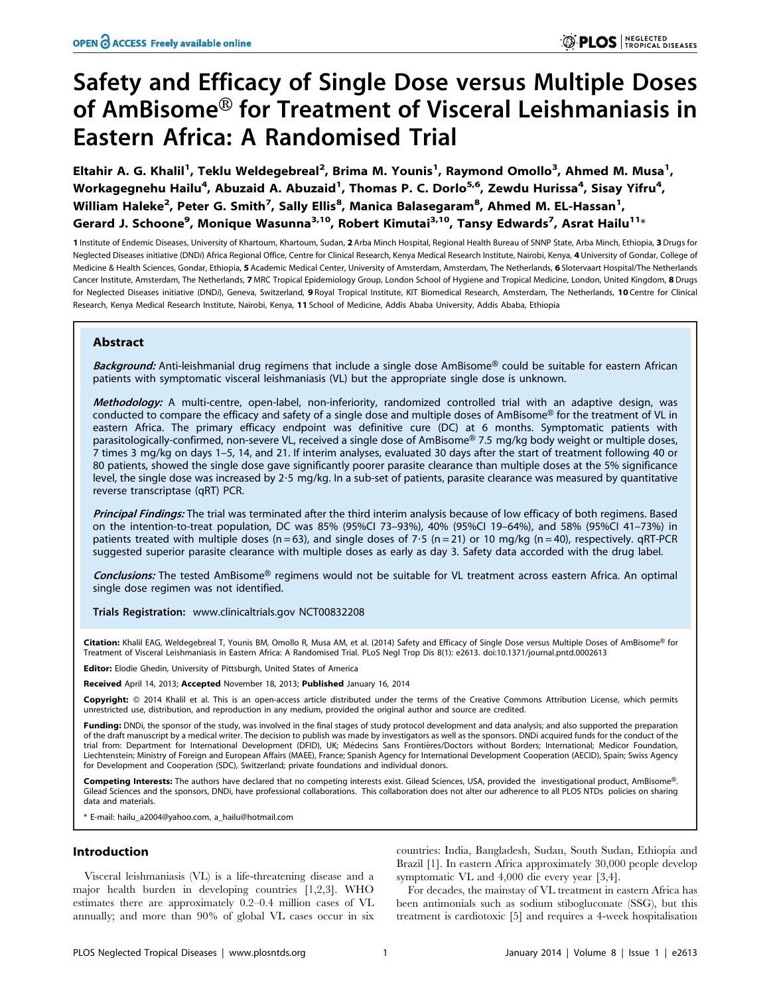# Safety and Efficacy of Single Dose versus Multiple Doses of AmBisome<sup>®</sup> for Treatment of Visceral Leishmaniasis in Eastern Africa: A Randomised Trial

Eltahir A. G. Khalil<sup>1</sup>, Teklu Weldegebreal<sup>2</sup>, Brima M. Younis<sup>1</sup>, Raymond Omollo<sup>3</sup>, Ahmed M. Musa<sup>1</sup>, Workagegnehu Hailu<sup>4</sup>, Abuzaid A. Abuzaid<sup>1</sup>, Thomas P. C. Dorlo<sup>5,6</sup>, Zewdu Hurissa<sup>4</sup>, Sisay Yifru<sup>4</sup>, William Haleke $^{\mathsf{2}}$ , Peter G. Smith $^{\mathsf{7}}$ , Sally Ellis $^{\mathsf{8}}$ , Manica Balasegaram $^{\mathsf{8}}$ , Ahmed M. EL-Hassan $^{\mathsf{1}},$ Gerard J. Schoone<sup>9</sup>, Monique Wasunna<sup>3,10</sup>, Robert Kimutai<sup>3,10</sup>, Tansy Edwards<sup>7</sup>, Asrat Hailu<sup>11</sup>\*

1 Institute of Endemic Diseases, University of Khartoum, Khartoum, Sudan, 2 Arba Minch Hospital, Regional Health Bureau of SNNP State, Arba Minch, Ethiopia, 3 Drugs for Neglected Diseases initiative (DNDi) Africa Regional Office, Centre for Clinical Research, Kenya Medical Research Institute, Nairobi, Kenya, 4 University of Gondar, College of Medicine & Health Sciences, Gondar, Ethiopia, 5 Academic Medical Center, University of Amsterdam, Amsterdam, The Netherlands, 6 Slotervaart Hospital/The Netherlands Cancer Institute, Amsterdam, The Netherlands, 7 MRC Tropical Epidemiology Group, London School of Hygiene and Tropical Medicine, London, United Kingdom, 8 Drugs for Neglected Diseases initiative (DNDi), Geneva, Switzerland, 9 Royal Tropical Institute, KIT Biomedical Research, Amsterdam, The Netherlands, 10 Centre for Clinical Research, Kenya Medical Research Institute, Nairobi, Kenya, 11 School of Medicine, Addis Ababa University, Addis Ababa, Ethiopia

# Abstract

Background: Anti-leishmanial drug regimens that include a single dose AmBisome® could be suitable for eastern African patients with symptomatic visceral leishmaniasis (VL) but the appropriate single dose is unknown.

Methodology: A multi-centre, open-label, non-inferiority, randomized controlled trial with an adaptive design, was conducted to compare the efficacy and safety of a single dose and multiple doses of AmBisome® for the treatment of VL in eastern Africa. The primary efficacy endpoint was definitive cure (DC) at 6 months. Symptomatic patients with parasitologically-confirmed, non-severe VL, received a single dose of AmBisome® 7.5 mg/kg body weight or multiple doses, 7 times 3 mg/kg on days 1–5, 14, and 21. If interim analyses, evaluated 30 days after the start of treatment following 40 or 80 patients, showed the single dose gave significantly poorer parasite clearance than multiple doses at the 5% significance level, the single dose was increased by 2?5 mg/kg. In a sub-set of patients, parasite clearance was measured by quantitative reverse transcriptase (qRT) PCR.

Principal Findings: The trial was terminated after the third interim analysis because of low efficacy of both regimens. Based on the intention-to-treat population, DC was 85% (95%CI 73–93%), 40% (95%CI 19–64%), and 58% (95%CI 41–73%) in patients treated with multiple doses (n = 63), and single doses of 7.5 (n = 21) or 10 mg/kg (n = 40), respectively. qRT-PCR suggested superior parasite clearance with multiple doses as early as day 3. Safety data accorded with the drug label.

Conclusions: The tested AmBisome® regimens would not be suitable for VL treatment across eastern Africa. An optimal single dose regimen was not identified.

Trials Registration: www.clinicaltrials.gov [NCT00832208](http://clinicaltrials.gov/ct2/show/NCT00832208?term=NCT00832208&rank=1)

Citation: Khalil EAG, Weldegebreal T, Younis BM, Omollo R, Musa AM, et al. (2014) Safety and Efficacy of Single Dose versus Multiple Doses of AmBisome® for Treatment of Visceral Leishmaniasis in Eastern Africa: A Randomised Trial. PLoS Negl Trop Dis 8(1): e2613. doi:10.1371/journal.pntd.0002613

Editor: Elodie Ghedin, University of Pittsburgh, United States of America

Received April 14, 2013; Accepted November 18, 2013; Published January 16, 2014

Copyright: © 2014 Khalil et al. This is an open-access article distributed under the terms of the Creative Commons Attribution License, which permits unrestricted use, distribution, and reproduction in any medium, provided the original author and source are credited.

Funding: DNDi, the sponsor of the study, was involved in the final stages of study protocol development and data analysis; and also supported the preparation of the draft manuscript by a medical writer. The decision to publish was made by investigators as well as the sponsors. DNDi acquired funds for the conduct of the trial from: Department for International Development (DFID), UK; Médecins Sans Frontières/Doctors without Borders; International; Medicor Foundation, Liechtenstein; Ministry of Foreign and European Affairs (MAEE), France; Spanish Agency for International Development Cooperation (AECID), Spain; Swiss Agency for Development and Cooperation (SDC), Switzerland; private foundations and individual donors.

Competing Interests: The authors have declared that no competing interests exist. Gilead Sciences, USA, provided the investigational product, AmBisome®. Gilead Sciences and the sponsors, DNDi, have professional collaborations. This collaboration does not alter our adherence to all PLOS NTDs policies on sharing data and materials.

\* E-mail: hailu\_a2004@yahoo.com, a\_hailu@hotmail.com

# Introduction

Visceral leishmaniasis (VL) is a life-threatening disease and a major health burden in developing countries [1,2,3]. WHO estimates there are approximately 0.2–0.4 million cases of VL annually; and more than 90% of global VL cases occur in six

countries: India, Bangladesh, Sudan, South Sudan, Ethiopia and Brazil [1]. In eastern Africa approximately 30,000 people develop symptomatic VL and 4,000 die every year [3,4].

For decades, the mainstay of VL treatment in eastern Africa has been antimonials such as sodium stibogluconate (SSG), but this treatment is cardiotoxic [5] and requires a 4-week hospitalisation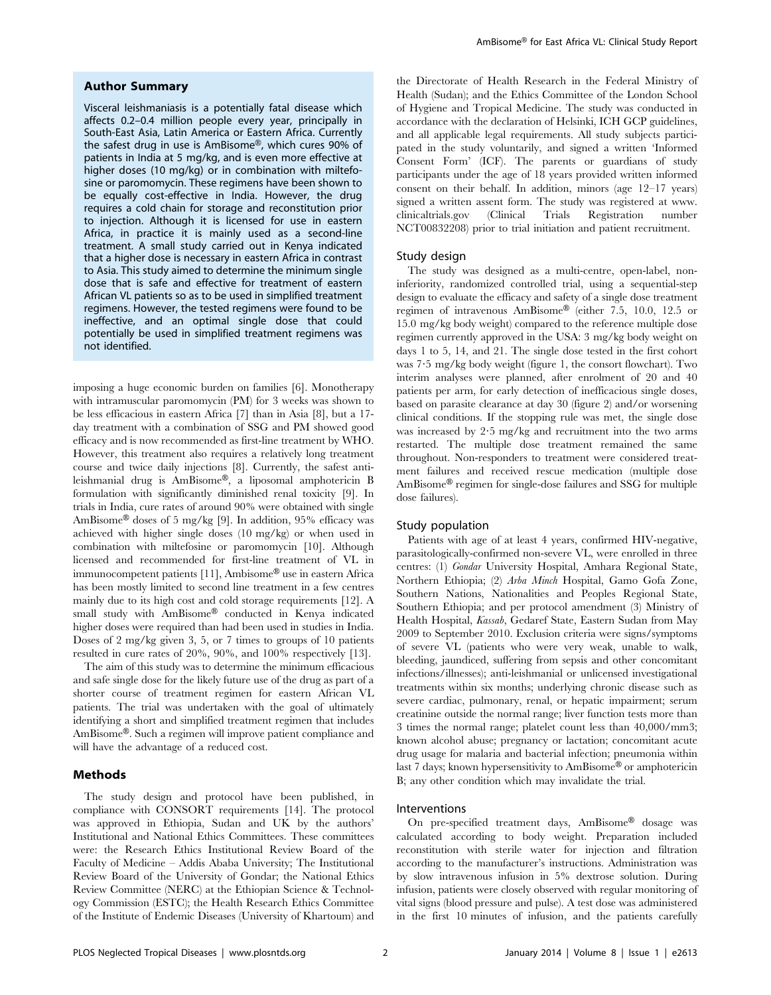# Author Summary

Visceral leishmaniasis is a potentially fatal disease which affects 0.2–0.4 million people every year, principally in South-East Asia, Latin America or Eastern Africa. Currently the safest drug in use is AmBisome®, which cures 90% of patients in India at 5 mg/kg, and is even more effective at higher doses (10 mg/kg) or in combination with miltefosine or paromomycin. These regimens have been shown to be equally cost-effective in India. However, the drug requires a cold chain for storage and reconstitution prior to injection. Although it is licensed for use in eastern Africa, in practice it is mainly used as a second-line treatment. A small study carried out in Kenya indicated that a higher dose is necessary in eastern Africa in contrast to Asia. This study aimed to determine the minimum single dose that is safe and effective for treatment of eastern African VL patients so as to be used in simplified treatment regimens. However, the tested regimens were found to be ineffective, and an optimal single dose that could potentially be used in simplified treatment regimens was not identified.

imposing a huge economic burden on families [6]. Monotherapy with intramuscular paromomycin (PM) for 3 weeks was shown to be less efficacious in eastern Africa [7] than in Asia [8], but a 17 day treatment with a combination of SSG and PM showed good efficacy and is now recommended as first-line treatment by WHO. However, this treatment also requires a relatively long treatment course and twice daily injections [8]. Currently, the safest antileishmanial drug is AmBisome®, a liposomal amphotericin B formulation with significantly diminished renal toxicity [9]. In trials in India, cure rates of around 90% were obtained with single AmBisome® doses of 5 mg/kg [9]. In addition, 95% efficacy was achieved with higher single doses (10 mg/kg) or when used in combination with miltefosine or paromomycin [10]. Although licensed and recommended for first-line treatment of VL in immunocompetent patients [11], Ambisome<sup>®</sup> use in eastern Africa has been mostly limited to second line treatment in a few centres mainly due to its high cost and cold storage requirements [12]. A small study with  $AmBisome^{\circledR}$  conducted in Kenya indicated higher doses were required than had been used in studies in India. Doses of 2 mg/kg given 3, 5, or 7 times to groups of 10 patients resulted in cure rates of 20%, 90%, and 100% respectively [13].

The aim of this study was to determine the minimum efficacious and safe single dose for the likely future use of the drug as part of a shorter course of treatment regimen for eastern African VL patients. The trial was undertaken with the goal of ultimately identifying a short and simplified treatment regimen that includes AmBisome®. Such a regimen will improve patient compliance and will have the advantage of a reduced cost.

# Methods

The study design and protocol have been published, in compliance with CONSORT requirements [14]. The protocol was approved in Ethiopia, Sudan and UK by the authors' Institutional and National Ethics Committees. These committees were: the Research Ethics Institutional Review Board of the Faculty of Medicine – Addis Ababa University; The Institutional Review Board of the University of Gondar; the National Ethics Review Committee (NERC) at the Ethiopian Science & Technology Commission (ESTC); the Health Research Ethics Committee of the Institute of Endemic Diseases (University of Khartoum) and the Directorate of Health Research in the Federal Ministry of Health (Sudan); and the Ethics Committee of the London School of Hygiene and Tropical Medicine. The study was conducted in accordance with the declaration of Helsinki, ICH GCP guidelines, and all applicable legal requirements. All study subjects participated in the study voluntarily, and signed a written 'Informed Consent Form' (ICF). The parents or guardians of study participants under the age of 18 years provided written informed consent on their behalf. In addition, minors (age 12–17 years) signed a written assent form. The study was registered at www. clinicaltrials.gov (Clinical Trials Registration number NCT00832208) prior to trial initiation and patient recruitment.

# Study design

The study was designed as a multi-centre, open-label, noninferiority, randomized controlled trial, using a sequential-step design to evaluate the efficacy and safety of a single dose treatment regimen of intravenous  $AmBisome^{\circledR}$  (either 7.5, 10.0, 12.5 or 15.0 mg/kg body weight) compared to the reference multiple dose regimen currently approved in the USA: 3 mg/kg body weight on days 1 to 5, 14, and 21. The single dose tested in the first cohort was 7?5 mg/kg body weight (figure 1, the consort flowchart). Two interim analyses were planned, after enrolment of 20 and 40 patients per arm, for early detection of inefficacious single doses, based on parasite clearance at day 30 (figure 2) and/or worsening clinical conditions. If the stopping rule was met, the single dose was increased by 2?5 mg/kg and recruitment into the two arms restarted. The multiple dose treatment remained the same throughout. Non-responders to treatment were considered treatment failures and received rescue medication (multiple dose  $AmBisome^{\circledR}$  regimen for single-dose failures and SSG for multiple dose failures).

# Study population

Patients with age of at least 4 years, confirmed HIV-negative, parasitologically-confirmed non-severe VL, were enrolled in three centres: (1) Gondar University Hospital, Amhara Regional State, Northern Ethiopia; (2) Arba Minch Hospital, Gamo Gofa Zone, Southern Nations, Nationalities and Peoples Regional State, Southern Ethiopia; and per protocol amendment (3) Ministry of Health Hospital, Kassab, Gedaref State, Eastern Sudan from May 2009 to September 2010. Exclusion criteria were signs/symptoms of severe VL (patients who were very weak, unable to walk, bleeding, jaundiced, suffering from sepsis and other concomitant infections/illnesses); anti-leishmanial or unlicensed investigational treatments within six months; underlying chronic disease such as severe cardiac, pulmonary, renal, or hepatic impairment; serum creatinine outside the normal range; liver function tests more than 3 times the normal range; platelet count less than 40,000/mm3; known alcohol abuse; pregnancy or lactation; concomitant acute drug usage for malaria and bacterial infection; pneumonia within last 7 days; known hypersensitivity to  $AmB$ isome® or amphotericin B; any other condition which may invalidate the trial.

# Interventions

On pre-specified treatment days, AmBisome® dosage was calculated according to body weight. Preparation included reconstitution with sterile water for injection and filtration according to the manufacturer's instructions. Administration was by slow intravenous infusion in 5% dextrose solution. During infusion, patients were closely observed with regular monitoring of vital signs (blood pressure and pulse). A test dose was administered in the first 10 minutes of infusion, and the patients carefully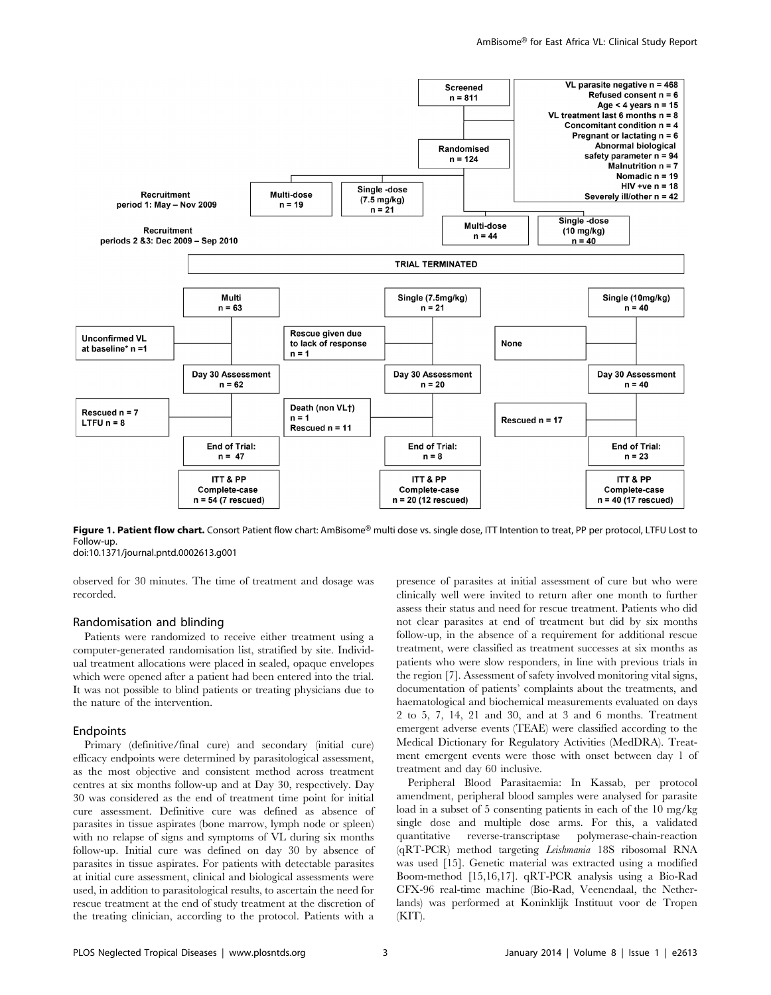

Figure 1. Patient flow chart. Consort Patient flow chart: AmBisome® multi dose vs. single dose, ITT Intention to treat, PP per protocol, LTFU Lost to Follow-up.

doi:10.1371/journal.pntd.0002613.g001

observed for 30 minutes. The time of treatment and dosage was recorded.

# Randomisation and blinding

Patients were randomized to receive either treatment using a computer-generated randomisation list, stratified by site. Individual treatment allocations were placed in sealed, opaque envelopes which were opened after a patient had been entered into the trial. It was not possible to blind patients or treating physicians due to the nature of the intervention.

#### **Endpoints**

Primary (definitive/final cure) and secondary (initial cure) efficacy endpoints were determined by parasitological assessment, as the most objective and consistent method across treatment centres at six months follow-up and at Day 30, respectively. Day 30 was considered as the end of treatment time point for initial cure assessment. Definitive cure was defined as absence of parasites in tissue aspirates (bone marrow, lymph node or spleen) with no relapse of signs and symptoms of VL during six months follow-up. Initial cure was defined on day 30 by absence of parasites in tissue aspirates. For patients with detectable parasites at initial cure assessment, clinical and biological assessments were used, in addition to parasitological results, to ascertain the need for rescue treatment at the end of study treatment at the discretion of the treating clinician, according to the protocol. Patients with a presence of parasites at initial assessment of cure but who were clinically well were invited to return after one month to further assess their status and need for rescue treatment. Patients who did not clear parasites at end of treatment but did by six months follow-up, in the absence of a requirement for additional rescue treatment, were classified as treatment successes at six months as patients who were slow responders, in line with previous trials in the region [7]. Assessment of safety involved monitoring vital signs, documentation of patients' complaints about the treatments, and haematological and biochemical measurements evaluated on days 2 to 5, 7, 14, 21 and 30, and at 3 and 6 months. Treatment emergent adverse events (TEAE) were classified according to the Medical Dictionary for Regulatory Activities (MedDRA). Treatment emergent events were those with onset between day 1 of treatment and day 60 inclusive.

Peripheral Blood Parasitaemia: In Kassab, per protocol amendment, peripheral blood samples were analysed for parasite load in a subset of 5 consenting patients in each of the 10 mg/kg single dose and multiple dose arms. For this, a validated quantitative reverse-transcriptase polymerase-chain-reaction (qRT-PCR) method targeting Leishmania 18S ribosomal RNA was used [15]. Genetic material was extracted using a modified Boom-method [15,16,17]. qRT-PCR analysis using a Bio-Rad CFX-96 real-time machine (Bio-Rad, Veenendaal, the Netherlands) was performed at Koninklijk Instituut voor de Tropen  $(KIT)$ .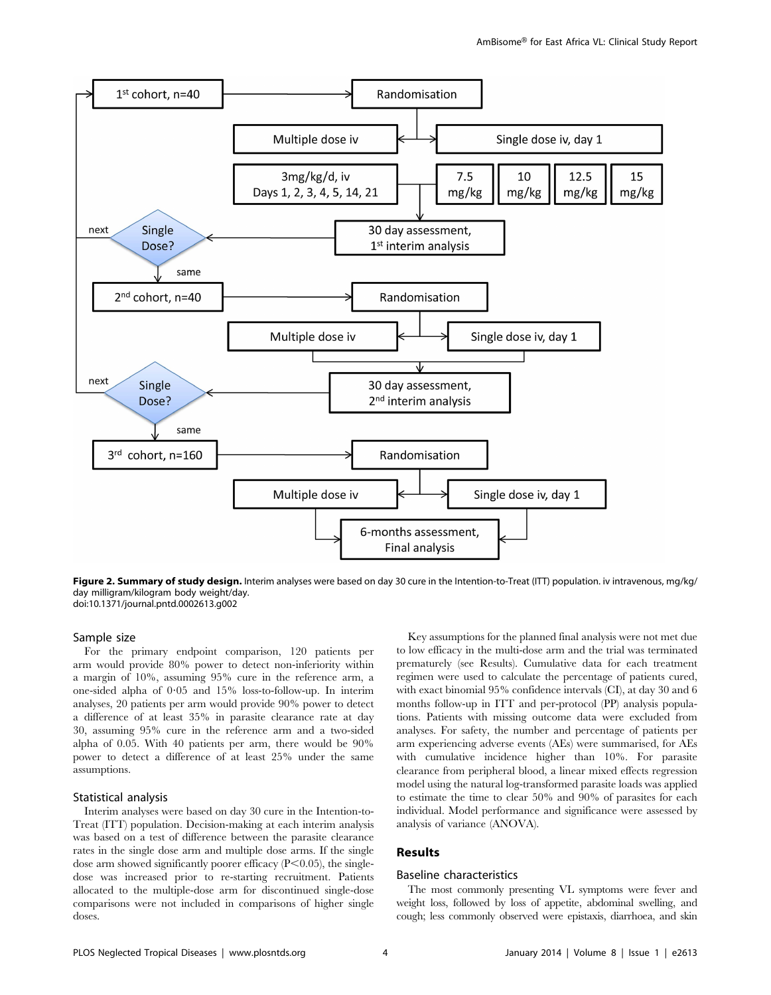

Figure 2. Summary of study design. Interim analyses were based on day 30 cure in the Intention-to-Treat (ITT) population. iv intravenous, mg/kg/ day milligram/kilogram body weight/day. doi:10.1371/journal.pntd.0002613.g002

# Sample size

For the primary endpoint comparison, 120 patients per arm would provide 80% power to detect non-inferiority within a margin of 10%, assuming 95% cure in the reference arm, a one-sided alpha of  $0.05$  and  $15\%$  loss-to-follow-up. In interim analyses, 20 patients per arm would provide 90% power to detect a difference of at least 35% in parasite clearance rate at day 30, assuming 95% cure in the reference arm and a two-sided alpha of 0.05. With 40 patients per arm, there would be 90% power to detect a difference of at least 25% under the same assumptions.

#### Statistical analysis

Interim analyses were based on day 30 cure in the Intention-to-Treat (ITT) population. Decision-making at each interim analysis was based on a test of difference between the parasite clearance rates in the single dose arm and multiple dose arms. If the single dose arm showed significantly poorer efficacy  $(P<0.05)$ , the singledose was increased prior to re-starting recruitment. Patients allocated to the multiple-dose arm for discontinued single-dose comparisons were not included in comparisons of higher single doses.

Key assumptions for the planned final analysis were not met due to low efficacy in the multi-dose arm and the trial was terminated prematurely (see Results). Cumulative data for each treatment regimen were used to calculate the percentage of patients cured, with exact binomial 95% confidence intervals (CI), at day 30 and 6 months follow-up in ITT and per-protocol (PP) analysis populations. Patients with missing outcome data were excluded from analyses. For safety, the number and percentage of patients per arm experiencing adverse events (AEs) were summarised, for AEs with cumulative incidence higher than 10%. For parasite clearance from peripheral blood, a linear mixed effects regression model using the natural log-transformed parasite loads was applied to estimate the time to clear 50% and 90% of parasites for each individual. Model performance and significance were assessed by analysis of variance (ANOVA).

# Results

## Baseline characteristics

The most commonly presenting VL symptoms were fever and weight loss, followed by loss of appetite, abdominal swelling, and cough; less commonly observed were epistaxis, diarrhoea, and skin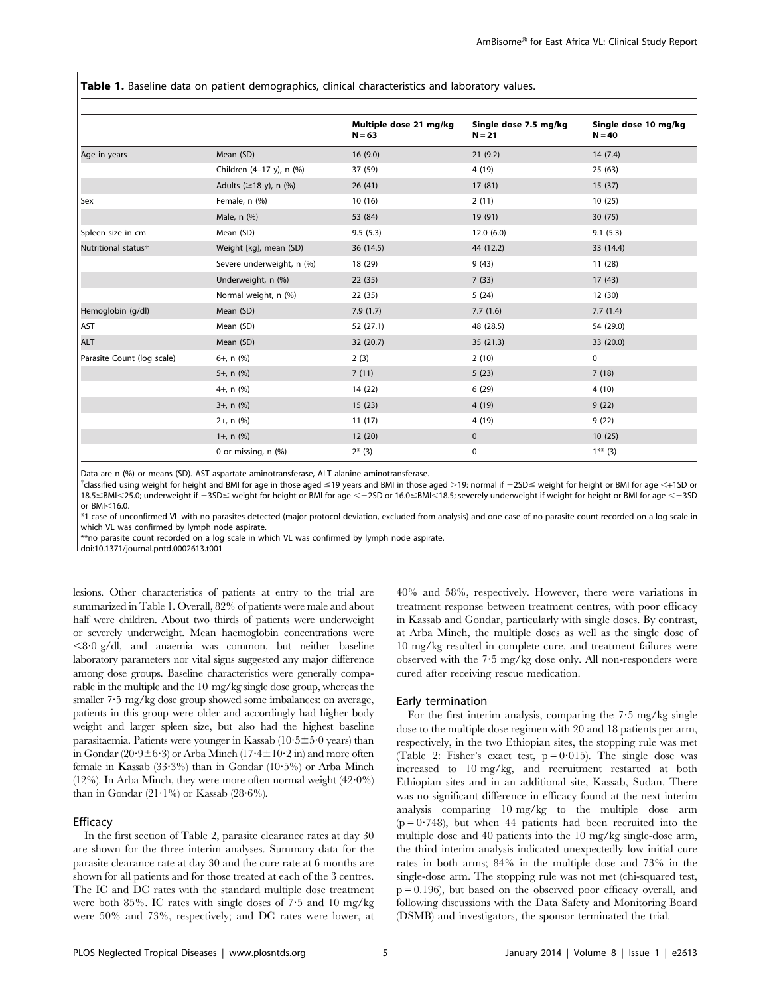Table 1. Baseline data on patient demographics, clinical characteristics and laboratory values.

|                            |                                | Multiple dose 21 mg/kg<br>$N = 63$ | Single dose 7.5 mg/kg<br>$N = 21$ | Single dose 10 mg/kg<br>$N = 40$ |
|----------------------------|--------------------------------|------------------------------------|-----------------------------------|----------------------------------|
| Age in years               | Mean (SD)                      | 16(9.0)                            | 21(9.2)                           | 14(7.4)                          |
|                            | Children (4-17 y), n (%)       | 37 (59)                            | 4 (19)                            | 25(63)                           |
|                            | Adults $(\geq 18$ y), n $(\%)$ | 26(41)                             | 17(81)                            | 15(37)                           |
| <b>Sex</b>                 | Female, n (%)                  | 10(16)                             | 2(11)                             | 10(25)                           |
|                            | Male, n (%)                    | 53 (84)                            | 19 (91)                           | 30(75)                           |
| Spleen size in cm          | Mean (SD)                      | 9.5(5.3)                           | 12.0(6.0)                         | 9.1(5.3)                         |
| Nutritional status†        | Weight [kg], mean (SD)         | 36 (14.5)                          | 44 (12.2)                         | 33 (14.4)                        |
|                            | Severe underweight, n (%)      | 18 (29)                            | 9(43)                             | 11(28)                           |
|                            | Underweight, n (%)             | 22(35)                             | 7(33)                             | 17(43)                           |
|                            | Normal weight, n (%)           | 22 (35)                            | 5(24)                             | 12(30)                           |
| Hemoglobin (g/dl)          | Mean (SD)                      | 7.9(1.7)                           | 7.7(1.6)                          | 7.7(1.4)                         |
| AST                        | Mean (SD)                      | 52 (27.1)                          | 48 (28.5)                         | 54 (29.0)                        |
| ALT                        | Mean (SD)                      | 32 (20.7)                          | 35(21.3)                          | 33 (20.0)                        |
| Parasite Count (log scale) | $6+$ , n $(%)$                 | 2(3)                               | 2(10)                             | $\mathbf 0$                      |
|                            | $5+$ , n $(%)$                 | 7(11)                              | 5(23)                             | 7(18)                            |
|                            | 4+, $n$ (%)                    | 14 (22)                            | 6(29)                             | 4(10)                            |
|                            | $3+$ , n $(%)$                 | 15(23)                             | 4(19)                             | 9(22)                            |
|                            | $2+$ , n $(%)$                 | 11(17)                             | 4 (19)                            | 9(22)                            |
|                            | $1+$ , n $(%)$                 | 12(20)                             | $\mathbf 0$                       | 10(25)                           |
|                            | 0 or missing, $n$ (%)          | $2*$ (3)                           | 0                                 | $1***$ (3)                       |

Data are n (%) or means (SD). AST aspartate aminotransferase, ALT alanine aminotransferase.

 $^\dagger$ classified using weight for height and BMI for age in those aged  $\leq$ 19 years and BMI in those aged  $>$ 19: normal if  $-$ 2SD $\leq$  weight for height or BMI for age  $<$ +1SD or  $18.5 \leq$ BMI<25.0; underweight if  $-35D \leq$  weight for height or BMI for age < -2SD or 16.0≤BMI<18.5; severely underweight if weight for height or BMI for age < -3SD or BMI<16.0.

\*1 case of unconfirmed VL with no parasites detected (major protocol deviation, excluded from analysis) and one case of no parasite count recorded on a log scale in which VL was confirmed by lymph node aspirate.

\*\*no parasite count recorded on a log scale in which VL was confirmed by lymph node aspirate.

doi:10.1371/journal.pntd.0002613.t001

lesions. Other characteristics of patients at entry to the trial are summarized in Table 1. Overall, 82% of patients were male and about half were children. About two thirds of patients were underweight or severely underweight. Mean haemoglobin concentrations were  $<8.0$  g/dl, and anaemia was common, but neither baseline laboratory parameters nor vital signs suggested any major difference among dose groups. Baseline characteristics were generally comparable in the multiple and the 10 mg/kg single dose group, whereas the smaller 7.5 mg/kg dose group showed some imbalances: on average, patients in this group were older and accordingly had higher body weight and larger spleen size, but also had the highest baseline parasitaemia. Patients were younger in Kassab  $(10.5 \pm 5.0 \text{ years})$  than in Gondar (20 $\cdot$ 9±6 $\cdot$ 3) or Arba Minch (17 $\cdot$ 4±10 $\cdot$ 2 in) and more often female in Kassab (33.3%) than in Gondar (10.5%) or Arba Minch (12%). In Arba Minch, they were more often normal weight  $(42.0\%)$ than in Gondar  $(21.1\%)$  or Kassab  $(28.6\%)$ .

#### Efficacy

In the first section of Table 2, parasite clearance rates at day 30 are shown for the three interim analyses. Summary data for the parasite clearance rate at day 30 and the cure rate at 6 months are shown for all patients and for those treated at each of the 3 centres. The IC and DC rates with the standard multiple dose treatment were both 85%. IC rates with single doses of 7?5 and 10 mg/kg were 50% and 73%, respectively; and DC rates were lower, at

40% and 58%, respectively. However, there were variations in treatment response between treatment centres, with poor efficacy in Kassab and Gondar, particularly with single doses. By contrast, at Arba Minch, the multiple doses as well as the single dose of 10 mg/kg resulted in complete cure, and treatment failures were observed with the  $7.5$  mg/kg dose only. All non-responders were cured after receiving rescue medication.

#### Early termination

For the first interim analysis, comparing the  $7.5 \text{ mg/kg}$  single dose to the multiple dose regimen with 20 and 18 patients per arm, respectively, in the two Ethiopian sites, the stopping rule was met (Table 2: Fisher's exact test,  $p = 0.015$ ). The single dose was increased to 10 mg/kg, and recruitment restarted at both Ethiopian sites and in an additional site, Kassab, Sudan. There was no significant difference in efficacy found at the next interim analysis comparing 10 mg/kg to the multiple dose arm  $(p = 0.748)$ , but when 44 patients had been recruited into the multiple dose and 40 patients into the 10 mg/kg single-dose arm, the third interim analysis indicated unexpectedly low initial cure rates in both arms; 84% in the multiple dose and 73% in the single-dose arm. The stopping rule was not met (chi-squared test, p = 0.196), but based on the observed poor efficacy overall, and following discussions with the Data Safety and Monitoring Board (DSMB) and investigators, the sponsor terminated the trial.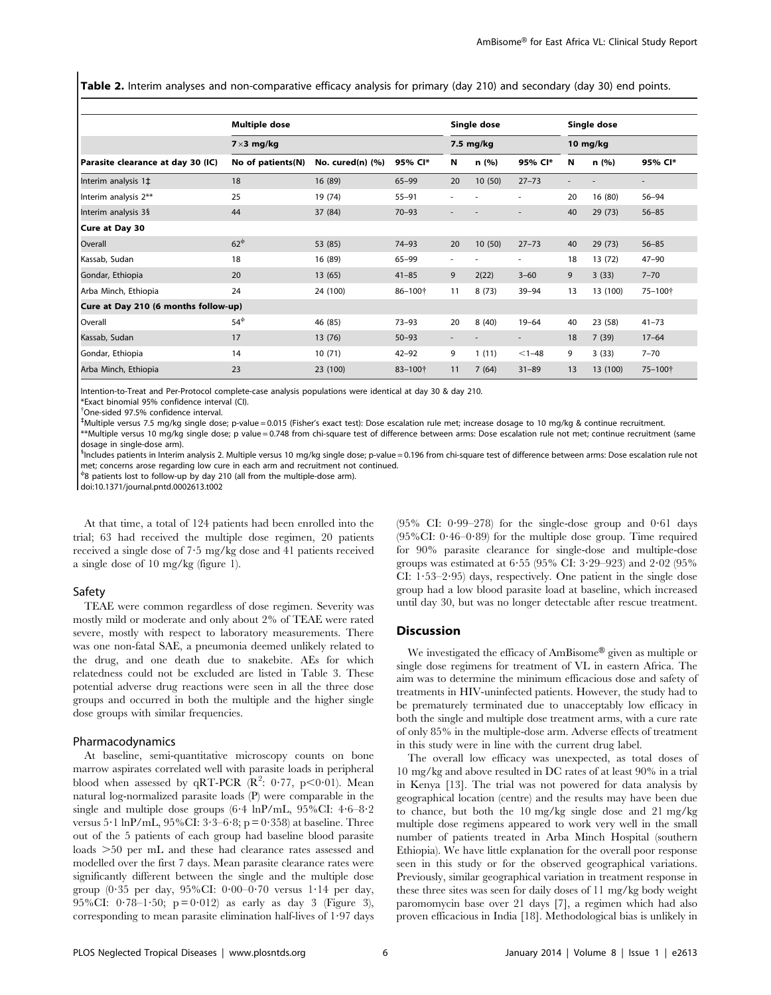Table 2. Interim analyses and non-comparative efficacy analysis for primary (day 210) and secondary (day 30) end points.

|                                      | <b>Multiple dose</b> |                       |           |                          | Single dose |                          |    | Single dose |                          |
|--------------------------------------|----------------------|-----------------------|-----------|--------------------------|-------------|--------------------------|----|-------------|--------------------------|
|                                      | $7\times3$ mg/kg     |                       |           | 7.5 mg/kg                |             | 10 mg/kg                 |    |             |                          |
| Parasite clearance at day 30 (IC)    | No of patients(N)    | No. cured $(n)$ $(%)$ | 95% CI*   | N                        | n (%)       | 95% CI*                  | N  | n(%)        | 95% CI*                  |
| Interim analysis 1‡                  | 18                   | 16 (89)               | $65 - 99$ | 20                       | 10(50)      | $27 - 73$                |    |             | $\overline{\phantom{a}}$ |
| Interim analysis 2**                 | 25                   | 19 (74)               | $55 - 91$ |                          |             |                          | 20 | 16(80)      | 56-94                    |
| Interim analysis 3§                  | 44                   | 37 (84)               | $70 - 93$ |                          |             |                          | 40 | 29(73)      | $56 - 85$                |
| Cure at Day 30                       |                      |                       |           |                          |             |                          |    |             |                          |
| Overall                              | $62^{\Phi}$          | 53 (85)               | $74 - 93$ | 20                       | 10(50)      | $27 - 73$                | 40 | 29(73)      | $56 - 85$                |
| Kassab, Sudan                        | 18                   | 16 (89)               | $65 - 99$ | $\overline{\phantom{a}}$ |             | ٠                        | 18 | 13(72)      | $47 - 90$                |
| Gondar, Ethiopia                     | 20                   | 13(65)                | $41 - 85$ | 9                        | 2(22)       | $3 - 60$                 | 9  | 3(33)       | $7 - 70$                 |
| Arba Minch, Ethiopia                 | 24                   | 24 (100)              | 86-100+   | 11                       | 8(73)       | 39-94                    | 13 | 13 (100)    | 75-100+                  |
| Cure at Day 210 (6 months follow-up) |                      |                       |           |                          |             |                          |    |             |                          |
| Overall                              | $54^{\circ}$         | 46 (85)               | $73 - 93$ | 20                       | 8(40)       | $19 - 64$                | 40 | 23 (58)     | $41 - 73$                |
| Kassab, Sudan                        | 17                   | 13 (76)               | $50 - 93$ |                          |             | $\overline{\phantom{a}}$ | 18 | 7(39)       | $17 - 64$                |
| Gondar, Ethiopia                     | 14                   | 10(71)                | $42 - 92$ | 9                        | 1(11)       | $< 1 - 48$               | 9  | 3(33)       | $7 - 70$                 |
| Arba Minch, Ethiopia                 | 23                   | 23 (100)              | 83-100+   | 11                       | 7(64)       | $31 - 89$                | 13 | 13 (100)    | 75-100+                  |

Intention-to-Treat and Per-Protocol complete-case analysis populations were identical at day 30 & day 210.

\*Exact binomial 95% confidence interval (CI).

{ One-sided 97.5% confidence interval.

` Multiple versus 7.5 mg/kg single dose; p-value = 0.015 (Fisher's exact test): Dose escalation rule met; increase dosage to 10 mg/kg & continue recruitment.

\*\*Multiple versus 10 mg/kg single dose; p value = 0.748 from chi-square test of difference between arms: Dose escalation rule not met; continue recruitment (same dosage in single-dose arm).

<sup>5</sup>Includes patients in Interim analysis 2. Multiple versus 10 mg/kg single dose; p-value = 0.196 from chi-square test of difference between arms: Dose escalation rule not met; concerns arose regarding low cure in each arm and recruitment not continued.

 $^{\phi}$ 8 patients lost to follow-up by day 210 (all from the multiple-dose arm).

doi:10.1371/journal.pntd.0002613.t002

At that time, a total of 124 patients had been enrolled into the trial; 63 had received the multiple dose regimen, 20 patients received a single dose of 7?5 mg/kg dose and 41 patients received a single dose of 10 mg/kg (figure 1).

#### Safety

TEAE were common regardless of dose regimen. Severity was mostly mild or moderate and only about 2% of TEAE were rated severe, mostly with respect to laboratory measurements. There was one non-fatal SAE, a pneumonia deemed unlikely related to the drug, and one death due to snakebite. AEs for which relatedness could not be excluded are listed in Table 3. These potential adverse drug reactions were seen in all the three dose groups and occurred in both the multiple and the higher single dose groups with similar frequencies.

#### Pharmacodynamics

At baseline, semi-quantitative microscopy counts on bone marrow aspirates correlated well with parasite loads in peripheral blood when assessed by qRT-PCR  $(R^2: 0.77, p<0.01)$ . Mean natural log-normalized parasite loads (P) were comparable in the single and multiple dose groups  $(6.4 \ln P/mL, 95\% CI: 4.6-8.2$ versus 5 $\cdot$ 1 lnP/mL, 95%CI: 3 $\cdot$ 3–6 $\cdot$ 8; p = 0 $\cdot$ 358) at baseline. Three out of the 5 patients of each group had baseline blood parasite loads  $>50$  per mL and these had clearance rates assessed and modelled over the first 7 days. Mean parasite clearance rates were significantly different between the single and the multiple dose group (0.35 per day,  $95\%$ CI: 0.00-0.70 versus 1.14 per day, 95%CI:  $0.78-1.50$ ;  $p = 0.012$ ) as early as day 3 (Figure 3), corresponding to mean parasite elimination half-lives of  $1.97$  days

 $(95\% \text{ CI: } 0.99-278)$  for the single-dose group and  $0.61$  days  $(95\% CI: 0.46-0.89)$  for the multiple dose group. Time required for 90% parasite clearance for single-dose and multiple-dose groups was estimated at  $6.55$  (95% CI:  $3.29 - 923$ ) and  $2.02$  (95% CI:  $1.53-2.95$ ) days, respectively. One patient in the single dose group had a low blood parasite load at baseline, which increased until day 30, but was no longer detectable after rescue treatment.

# Discussion

We investigated the efficacy of AmBisome® given as multiple or single dose regimens for treatment of VL in eastern Africa. The aim was to determine the minimum efficacious dose and safety of treatments in HIV-uninfected patients. However, the study had to be prematurely terminated due to unacceptably low efficacy in both the single and multiple dose treatment arms, with a cure rate of only 85% in the multiple-dose arm. Adverse effects of treatment in this study were in line with the current drug label.

The overall low efficacy was unexpected, as total doses of 10 mg/kg and above resulted in DC rates of at least 90% in a trial in Kenya [13]. The trial was not powered for data analysis by geographical location (centre) and the results may have been due to chance, but both the 10 mg/kg single dose and 21 mg/kg multiple dose regimens appeared to work very well in the small number of patients treated in Arba Minch Hospital (southern Ethiopia). We have little explanation for the overall poor response seen in this study or for the observed geographical variations. Previously, similar geographical variation in treatment response in these three sites was seen for daily doses of 11 mg/kg body weight paromomycin base over 21 days [7], a regimen which had also proven efficacious in India [18]. Methodological bias is unlikely in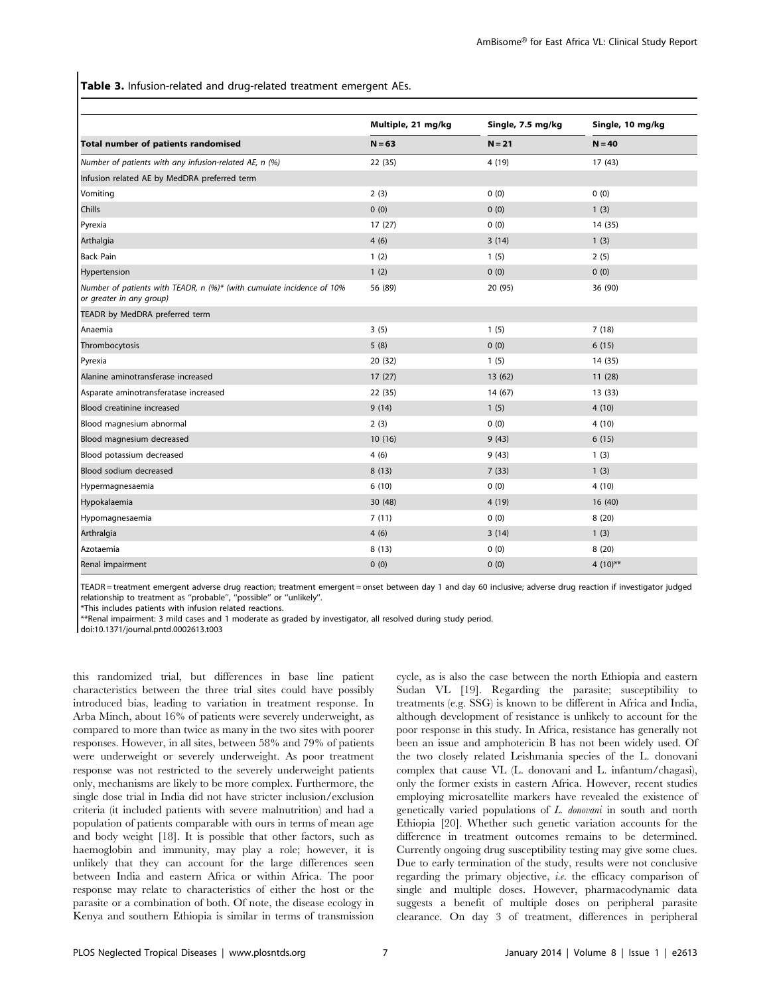Table 3. Infusion-related and drug-related treatment emergent AEs.

|                                                                                                   | Multiple, 21 mg/kg | Single, 7.5 mg/kg | Single, 10 mg/kg<br>$N = 40$ |  |
|---------------------------------------------------------------------------------------------------|--------------------|-------------------|------------------------------|--|
| Total number of patients randomised                                                               | $N = 63$           | $N = 21$          |                              |  |
| Number of patients with any infusion-related AE, n (%)                                            | 22 (35)            | 4 (19)            | 17(43)                       |  |
| Infusion related AE by MedDRA preferred term                                                      |                    |                   |                              |  |
| Vomiting                                                                                          | 2(3)               | 0(0)              | 0(0)                         |  |
| Chills                                                                                            | 0(0)               | 0(0)              | 1(3)                         |  |
| Pyrexia                                                                                           | 17(27)             | 0(0)              | 14 (35)                      |  |
| Arthalgia                                                                                         | 4(6)               | 3(14)             | 1(3)                         |  |
| <b>Back Pain</b>                                                                                  | 1(2)               | 1(5)              | 2(5)                         |  |
| Hypertension                                                                                      | 1(2)               | 0(0)              | 0(0)                         |  |
| Number of patients with TEADR, n (%)* (with cumulate incidence of 10%<br>or greater in any group) | 56 (89)            | 20 (95)           | 36 (90)                      |  |
| TEADR by MedDRA preferred term                                                                    |                    |                   |                              |  |
| Anaemia                                                                                           | 3(5)               | 1(5)              | 7(18)                        |  |
| Thrombocytosis                                                                                    | 5(8)               | 0(0)              | 6(15)                        |  |
| Pyrexia                                                                                           | 20 (32)            | 1(5)              | 14 (35)                      |  |
| Alanine aminotransferase increased                                                                | 17(27)             | 13(62)            | 11(28)                       |  |
| Asparate aminotransferatase increased                                                             | 22 (35)            | 14(67)            | 13(33)                       |  |
| Blood creatinine increased                                                                        | 9(14)              | 1(5)              | 4(10)                        |  |
| Blood magnesium abnormal                                                                          | 2(3)               | 0(0)              | 4(10)                        |  |
| Blood magnesium decreased                                                                         | 10(16)             | 9(43)             | 6(15)                        |  |
| Blood potassium decreased                                                                         | 4(6)               | 9(43)             | 1(3)                         |  |
| Blood sodium decreased                                                                            | 8(13)              | 7(33)             | 1(3)                         |  |
| Hypermagnesaemia                                                                                  | 6(10)              | 0(0)              | 4(10)                        |  |
| Hypokalaemia                                                                                      | 30 (48)            | 4 (19)            | 16(40)                       |  |
| Hypomagnesaemia                                                                                   | 7(11)              | 0(0)              | 8(20)                        |  |
| Arthralgia                                                                                        | 4(6)               | 3(14)             | 1(3)                         |  |
| Azotaemia                                                                                         | 8(13)              | 0(0)              | 8(20)                        |  |
| Renal impairment                                                                                  | 0(0)               | 0(0)              | 4 $(10)$ **                  |  |

TEADR = treatment emergent adverse drug reaction; treatment emergent = onset between day 1 and day 60 inclusive; adverse drug reaction if investigator judged relationship to treatment as ''probable'', ''possible'' or ''unlikely''.

\*This includes patients with infusion related reactions.

\*\*Renal impairment: 3 mild cases and 1 moderate as graded by investigator, all resolved during study period.

doi:10.1371/journal.pntd.0002613.t003

this randomized trial, but differences in base line patient characteristics between the three trial sites could have possibly introduced bias, leading to variation in treatment response. In Arba Minch, about 16% of patients were severely underweight, as compared to more than twice as many in the two sites with poorer responses. However, in all sites, between 58% and 79% of patients were underweight or severely underweight. As poor treatment response was not restricted to the severely underweight patients only, mechanisms are likely to be more complex. Furthermore, the single dose trial in India did not have stricter inclusion/exclusion criteria (it included patients with severe malnutrition) and had a population of patients comparable with ours in terms of mean age and body weight [18]. It is possible that other factors, such as haemoglobin and immunity, may play a role; however, it is unlikely that they can account for the large differences seen between India and eastern Africa or within Africa. The poor response may relate to characteristics of either the host or the parasite or a combination of both. Of note, the disease ecology in Kenya and southern Ethiopia is similar in terms of transmission cycle, as is also the case between the north Ethiopia and eastern Sudan VL [19]. Regarding the parasite; susceptibility to treatments (e.g. SSG) is known to be different in Africa and India, although development of resistance is unlikely to account for the poor response in this study. In Africa, resistance has generally not been an issue and amphotericin B has not been widely used. Of the two closely related Leishmania species of the L. donovani complex that cause VL (L. donovani and L. infantum/chagasi), only the former exists in eastern Africa. However, recent studies employing microsatellite markers have revealed the existence of genetically varied populations of L. donovani in south and north Ethiopia [20]. Whether such genetic variation accounts for the difference in treatment outcomes remains to be determined. Currently ongoing drug susceptibility testing may give some clues. Due to early termination of the study, results were not conclusive regarding the primary objective, i.e. the efficacy comparison of single and multiple doses. However, pharmacodynamic data suggests a benefit of multiple doses on peripheral parasite clearance. On day 3 of treatment, differences in peripheral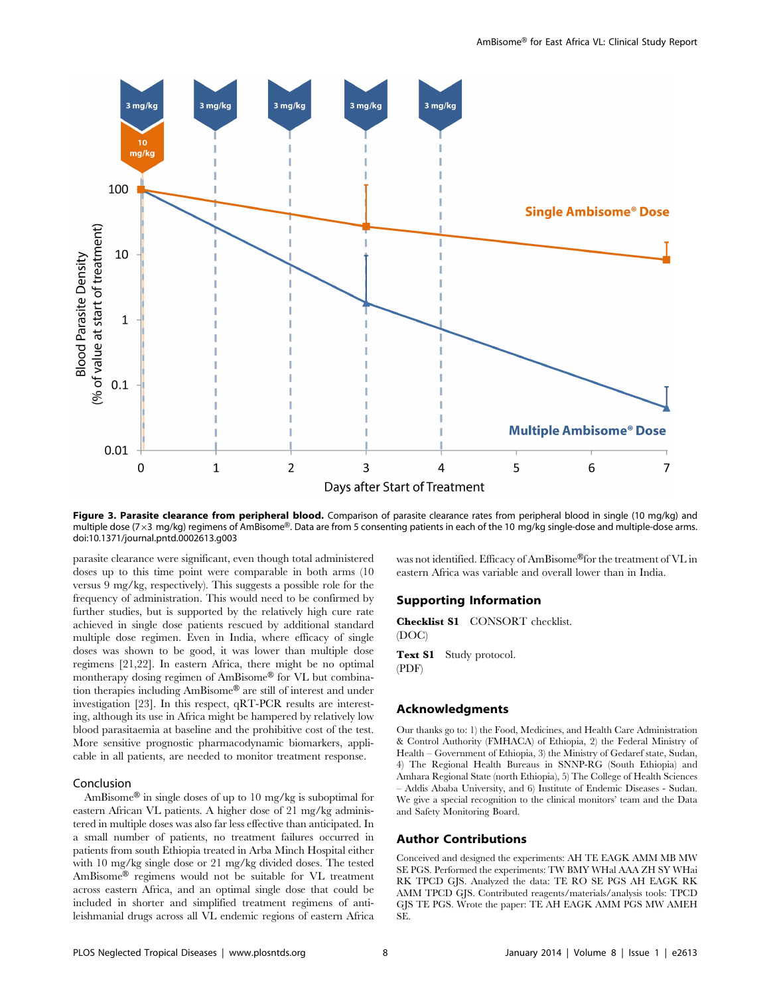![](_page_7_Figure_1.jpeg)

Figure 3. Parasite clearance from peripheral blood. Comparison of parasite clearance rates from peripheral blood in single (10 mg/kg) and multiple dose (7 x 3 mg/kg) regimens of AmBisome®. Data are from 5 consenting patients in each of the 10 mg/kg single-dose and multiple-dose arms. doi:10.1371/journal.pntd.0002613.g003

parasite clearance were significant, even though total administered doses up to this time point were comparable in both arms (10 versus 9 mg/kg, respectively). This suggests a possible role for the frequency of administration. This would need to be confirmed by further studies, but is supported by the relatively high cure rate achieved in single dose patients rescued by additional standard multiple dose regimen. Even in India, where efficacy of single doses was shown to be good, it was lower than multiple dose regimens [21,22]. In eastern Africa, there might be no optimal montherapy dosing regimen of AmBisome® for VL but combination therapies including AmBisome® are still of interest and under investigation [23]. In this respect, qRT-PCR results are interesting, although its use in Africa might be hampered by relatively low blood parasitaemia at baseline and the prohibitive cost of the test. More sensitive prognostic pharmacodynamic biomarkers, applicable in all patients, are needed to monitor treatment response.

# Conclusion

AmBisome® in single doses of up to 10 mg/kg is suboptimal for eastern African VL patients. A higher dose of 21 mg/kg administered in multiple doses was also far less effective than anticipated. In a small number of patients, no treatment failures occurred in patients from south Ethiopia treated in Arba Minch Hospital either with 10 mg/kg single dose or 21 mg/kg divided doses. The tested AmBisome® regimens would not be suitable for VL treatment across eastern Africa, and an optimal single dose that could be included in shorter and simplified treatment regimens of antileishmanial drugs across all VL endemic regions of eastern Africa was not identified. Efficacy of AmBisome®for the treatment of VL in eastern Africa was variable and overall lower than in India.

# Supporting Information

Checklist S1 CONSORT checklist. (DOC)

Text S1 Study protocol. (PDF)

# Acknowledgments

Our thanks go to: 1) the Food, Medicines, and Health Care Administration & Control Authority (FMHACA) of Ethiopia, 2) the Federal Ministry of Health – Government of Ethiopia, 3) the Ministry of Gedaref state, Sudan, 4) The Regional Health Bureaus in SNNP-RG (South Ethiopia) and Amhara Regional State (north Ethiopia), 5) The College of Health Sciences – Addis Ababa University, and 6) Institute of Endemic Diseases - Sudan. We give a special recognition to the clinical monitors' team and the Data and Safety Monitoring Board.

# Author Contributions

Conceived and designed the experiments: AH TE EAGK AMM MB MW SE PGS. Performed the experiments: TW BMY WHal AAA ZH SY WHai RK TPCD GJS. Analyzed the data: TE RO SE PGS AH EAGK RK AMM TPCD GJS. Contributed reagents/materials/analysis tools: TPCD GJS TE PGS. Wrote the paper: TE AH EAGK AMM PGS MW AMEH SE.